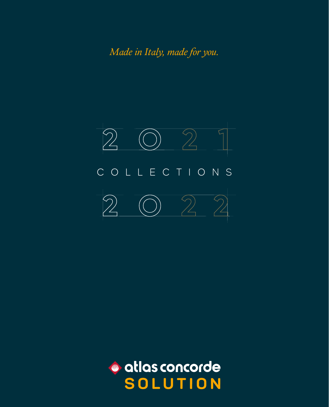*Made in Italy, made for you.*



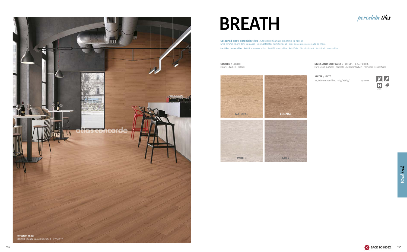

# **BREATH**

**COLORS** / COLORI Coloris . Farben . Colores





**SIZES AND SURFACES** / FORMATI E SUPERFICI Formats et surfaces . Formate und Oberrflachen . Formatos y superficies

**Coloured body porcelain tiles .** Gres porcellanato colorato in massa Grès cérame coloré dans la masse . Durchgefärbtes Feinsteinzeug . Gres porcelánico coloreado en masa **Rectified monocaliber** . Rettificato monocalibro . Rectifié monocalibre . Rektifiziert Monokalibriert . Rectificado monocalibre

> **MATTE** / MATT 22,5x90 cm rectified - 87 /8"x355

 $\pm$  8 mm



## porcelain tiles

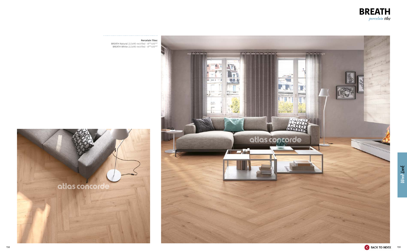

**Porcelain Tiles:**  BREATH Natural 22,5x90 rectified -  $8^{7/8}$ "x35 $^{5/8}$ " BREATH White 22,5x90 rectified -  $8^{7/8}$ "x35<sup>5/8"</sup>

![](_page_2_Picture_2.jpeg)

![](_page_2_Picture_4.jpeg)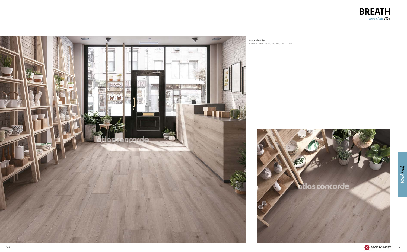![](_page_3_Picture_0.jpeg)

**Porcelain Tiles:** 

![](_page_3_Picture_3.jpeg)

BREATH Grey 22,5x90 rectified - 87/8"x355/8"

![](_page_3_Picture_6.jpeg)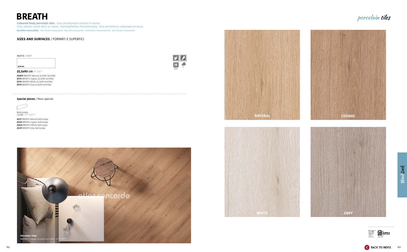## **BREATH**

#### **SIZES AND SURFACES** / FORMATI E SUPERFICI

**Coloured body porcelain tiles .** Gres porcellanato colorato in massa Grès cérame coloré dans la masse . Durchgefärbtes Feinsteinzeug . Gres porcelánico coloreado en masa **Rectified monocaliber** . Rettificato monocalibro . Rectifié monocalibre . Rektifiziert Monokalibriert . Rectificado monocalibre

Battiscopa **7,2x90 -** 2<sup>7/8</sup>"x35<sup>3/8</sup>"

**MATTE** / MATT

 $\pm$ 8 mm

**22,5x90 cm** 87/8"x353/8"

![](_page_4_Picture_11.jpeg)

**AOWX** BREATH Natural 22,5x90 rectified **D513** BREATH Cognac 22,5x90 rectified **D515** BREATH White 22,5x90 rectified **D514** BREATH Grey 22,5x90 rectified

![](_page_4_Picture_12.jpeg)

**AUJ7** BREATH Natural battiscopa **AUJ8** BREATH Cognac battiscopa **AUKA** BREATH White battiscopa **AUJ9** BREATH Grey battiscopa

#### **Special pieces** / Pezzi speciali

![](_page_4_Picture_8.jpeg)

![](_page_4_Picture_13.jpeg)

![](_page_4_Picture_14.jpeg)

![](_page_4_Picture_18.jpeg)

<u>Sociación</u>

### porcelain tiles

Wood Look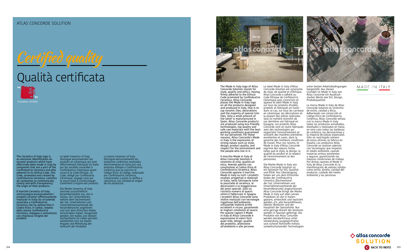![](_page_5_Picture_18.jpeg)

## Qualità certificata

![](_page_5_Picture_3.jpeg)

The Ceramics of Italy logo is an exclusive identification on ceramic products which have effectively been made in Italy by companies that are a part of the Confindustria Ceramica and who adhered to its Ethical Code. This Code, promoted and created by Confindustria Ceramica, commits all companies to communicate, clearly and with transparency, the origin of their products.

Il marchio Ceramics of Italy contrassegna esclusivamente i prodotti ceramici effettivamente realizzati in Italia da un'azienda associata a Confindustria Ceramica che ha sottoscritto il Codice Etico. Il Codice, redatto dalla stessa Confindustria Ceramica, impegna a comunicare con chiarezza l'origine dei prodotti.

Le label Ceramics of Italy distingue exclusivement les produits en céramique qui sont effectivement fabriqués en Italie par les sociétés associées à Confindustria Céramique ayant souscrit le Code Éthique. Ce Code, rédigé par Confidustria Céramique, engage ceux qui le souscrivent à communiquer clairement l'origine des produits.

Die Marke Ceramics of Italy zeichnet ausschließlich Keramikprodukte aus, die in Italien, von Unternehmen, welche dem Dachverband der ital. Unternehmen und Unternehmensverbände der Keramikbranche angehören und sich dem Ethischen Kodex verschrieben haben, hergestellt werden. Der Kodex, von diesem Dachverband ins Leben gerufen, verpflichtet sich zur klaren Angabe und Mitteilung der Herkunft der Produkte.

La marca Ceramics of Italy distingue exclusivamente los productos cerámicos realizados efectivamente en Italia por una empresa afiliada a Confindustria Cerámica que ha suscrito el Código Ético. El Código, redactado por Confindustria Cerámica, compromete a quien lo ratifica a comunicar con claridad el origen de los productos.

![](_page_5_Picture_9.jpeg)

Certified quality

The Made in Italy logo of Atlas Concorde Solution stands for style, quality and ethics. Having firmly adhered to the Ethical Code promoted by Confindustria Ceramica, Atlas Concorde places the Made in Italy logo on all the products designed and produced in Italy, that is to say ceramic tiles, decorations and the majority of special trim tiles. Only a small amount of the latter is manufactured in Spain. Atlas Concorde products are produced using eco-friendly technologies, top quality and safe raw materials with the best working conditions guaranteed for our personnel. For these reasons, Atlas Concorde's Made in Italy is the expression of strong values such as style, design, product quality, and respect for the environment and the people who live in it.

Il marchio Made in Italy di Atlas Concorde Solution è sinonimo di stile, qualità ed etica. Avendo aderito con convinzione al Codice Etico di Confindustria Ceramica, Atlas Concorde appone il marchio Made in Italy su tutti i prodotti studiati, progettati e realizzati in Italia, nella fattispecie tutte le piastrelle di ceramica, le decorazioni e la maggioranza dei pezzi speciali. Solo un ristretto numero di questi ultimi è fabbricato in Spagna. I prodotti Atlas Concorde sono inoltre realizzati con tecnologie rispettose dell'ambiente, utilizzando materie prime eccellenti e sicure, garantendo le migliori condizioni di lavoro. Per queste ragioni il Made in Italy di Atlas Concorde è espressione di valori forti quali stile, design, qualità del prodotto, attenzione all'ambiente e alle persone.

![](_page_5_Picture_14.jpeg)

garantie des meilleurs conditions de travail. Pour ces raisons, le Made in Italy d'Atlas Concorde exprime des valeurs fortes telles que le style, le design, la qualité du produit et le respect de l'environnement et des personnes. Die Marke Made in Italy von Atlas Concorde Solution ist ein Synonym für Stil, Qualität und Ethik. Aus Überzeugung haben wir uns dem Ethischen Kodex der Confindustria Ceramica (Dachverband der ital. Unternehmen und Unternehmensverbände der Keramikbranche) angeschlossen. Atlas Concorde bringt die Marke Made in Italy auf allen seinen Produkten an die in Italien geplant, entwickelt und realisiert werden, d.h. alle Keramikfliesen, Dekore, Bordüren und der Hauptteil der Spezialteile. Nur eine geringe Anzahl der letzteren werden in Spanien gefertigt. Die Produkte von Atlas Concorde werden darüberhinaus unter Verwendung ausgezeichneter und sicherer Rohstoffe mittels umweltschützender Technologien unter besten Arbeitsbedingungen hergestellt. Aus diesen Gründen ist Made in Italy von Atlas Concorde ein Ausdruck starker Werte wie Stil, Design, Produktqualität.

La marca Made in Italy de Atlas Concorde Solution es sinónimo de estilo, calidad y ética. Adheriendo con convicción el Código Ético de Confindustria Cerámica, Atlas Concorde señala con la marca Made in Italy todos los productos estudiados, diseñados y realizados en Italia, en este caso todas las baldosas de cerámica, las decoraciones y la mayoría de piezas especiales. Sólo un restringido número de estas últimas se fabrica en España. Los productos Atlas Concorde se realizan además con tecnologías que respetan el medio ambiente, usando materias primas excelentes y seguras, garantizando las mejores condiciones de trabajo. Por dichas razones el Made in Italy de Atlas Concorde es la manifestación de valores sólidos como estilo, diseño, calidad del producto, cuidado del medio ambiente y las personas.

#### MADE IN ITALY

COACO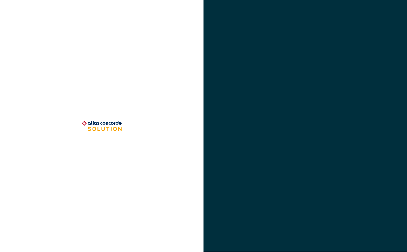![](_page_6_Picture_0.jpeg)